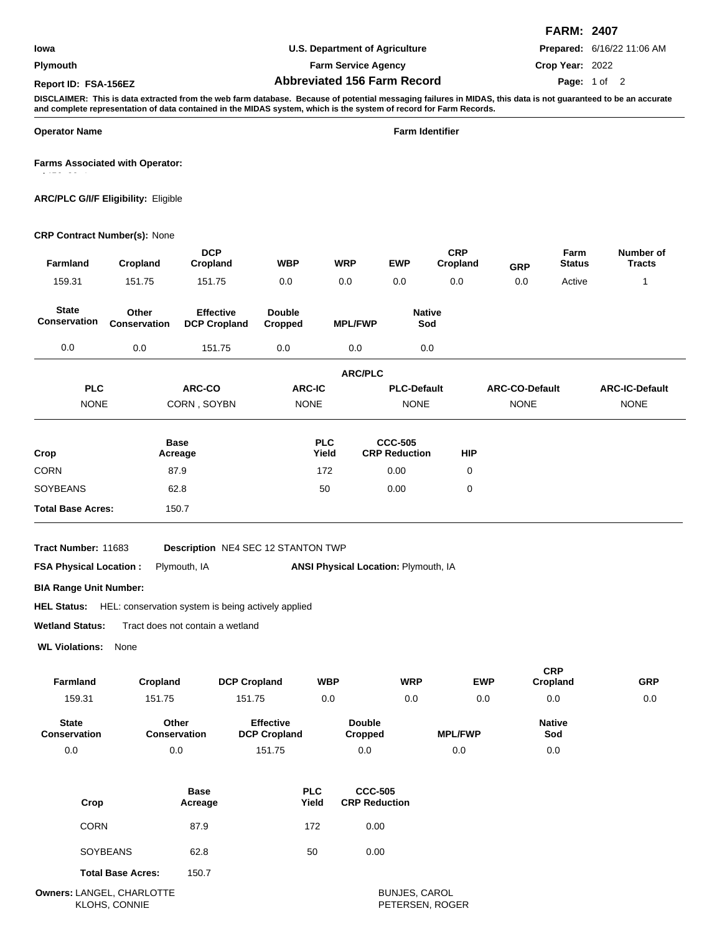### **Plymouth**

## **U.S. Department of Agriculture**

**Farm Service Agency**

# **Abbreviated 156 Farm Record Report ID: FSA-156EZ Page:**

**FARM: 2407**

**Prepared:** 6/16/22 11:06 AM

**Crop Year:** 2022 Page: 1 of 2

**DISCLAIMER: This is data extracted from the web farm database. Because of potential messaging failures in MIDAS, this data is not guaranteed to be an accurate and complete representation of data contained in the MIDAS system, which is the system of record for Farm Records.**

**Operator Name Farm Identifier**

1456, 2041

**Farms Associated with Operator:**

**ARC/PLC G/I/F Eligibility:** Eligible

## **CRP Contract Number(s):** None

| Farmland                                                                                 | Cropland                     | <b>DCP</b><br>Cropland                                                                                                                                          | <b>WBP</b>                              | <b>WRP</b>          |                                        | <b>EWP</b>                             | <b>CRP</b><br>Cropland | GRP                   | Farm<br><b>Status</b>  | Number of<br><b>Tracts</b> |
|------------------------------------------------------------------------------------------|------------------------------|-----------------------------------------------------------------------------------------------------------------------------------------------------------------|-----------------------------------------|---------------------|----------------------------------------|----------------------------------------|------------------------|-----------------------|------------------------|----------------------------|
| 159.31                                                                                   | 151.75                       | 151.75                                                                                                                                                          | 0.0                                     | 0.0                 |                                        | 0.0                                    | 0.0                    | 0.0                   | Active                 | $\mathbf{1}$               |
| <b>State</b><br><b>Conservation</b>                                                      | Other<br><b>Conservation</b> | <b>Effective</b><br><b>DCP Cropland</b>                                                                                                                         | <b>Double</b><br><b>Cropped</b>         |                     | <b>MPL/FWP</b>                         | <b>Native</b><br>Sod                   |                        |                       |                        |                            |
| 0.0                                                                                      | 0.0                          | 151.75                                                                                                                                                          | 0.0                                     |                     | 0.0                                    | 0.0                                    |                        |                       |                        |                            |
|                                                                                          |                              |                                                                                                                                                                 |                                         |                     | <b>ARC/PLC</b>                         |                                        |                        |                       |                        |                            |
| <b>PLC</b>                                                                               |                              | ARC-CO                                                                                                                                                          | <b>ARC-IC</b>                           |                     |                                        | <b>PLC-Default</b>                     |                        | <b>ARC-CO-Default</b> |                        | <b>ARC-IC-Default</b>      |
| <b>NONE</b>                                                                              |                              | CORN, SOYBN                                                                                                                                                     | <b>NONE</b>                             |                     |                                        | <b>NONE</b>                            |                        | <b>NONE</b>           |                        | <b>NONE</b>                |
| Crop                                                                                     |                              | <b>Base</b><br>Acreage                                                                                                                                          |                                         | <b>PLC</b><br>Yield |                                        | <b>CCC-505</b><br><b>CRP Reduction</b> | <b>HIP</b>             |                       |                        |                            |
| <b>CORN</b>                                                                              |                              | 87.9                                                                                                                                                            |                                         | 172                 |                                        | 0.00                                   | $\mathbf 0$            |                       |                        |                            |
| <b>SOYBEANS</b>                                                                          |                              | 62.8                                                                                                                                                            |                                         | 50                  |                                        | 0.00                                   | 0                      |                       |                        |                            |
| <b>Total Base Acres:</b>                                                                 |                              | 150.7                                                                                                                                                           |                                         |                     |                                        |                                        |                        |                       |                        |                            |
| <b>FSA Physical Location:</b><br><b>BIA Range Unit Number:</b><br><b>Wetland Status:</b> |                              | Description NE4 SEC 12 STANTON TWP<br>Plymouth, IA<br><b>HEL Status:</b> HEL: conservation system is being actively applied<br>Tract does not contain a wetland |                                         |                     |                                        | ANSI Physical Location: Plymouth, IA   |                        |                       |                        |                            |
| <b>WL Violations:</b>                                                                    | None                         |                                                                                                                                                                 |                                         |                     |                                        |                                        |                        |                       |                        |                            |
| <b>Farmland</b>                                                                          | Cropland                     | <b>DCP Cropland</b>                                                                                                                                             |                                         | <b>WBP</b>          |                                        | <b>WRP</b>                             |                        | <b>EWP</b>            | <b>CRP</b><br>Cropland | <b>GRP</b>                 |
| 159.31                                                                                   | 151.75                       | 151.75                                                                                                                                                          |                                         | 0.0                 |                                        | 0.0                                    |                        | 0.0                   | 0.0                    | 0.0                        |
| <b>State</b><br>Conservation                                                             |                              | Other<br>Conservation                                                                                                                                           | <b>Effective</b><br><b>DCP Cropland</b> |                     | <b>Double</b><br><b>Cropped</b>        |                                        | <b>MPL/FWP</b>         |                       | <b>Native</b><br>Sod   |                            |
| 0.0                                                                                      |                              | 0.0                                                                                                                                                             | 151.75                                  |                     | 0.0                                    |                                        | 0.0                    |                       | 0.0                    |                            |
| Crop                                                                                     |                              | <b>Base</b><br>Acreage                                                                                                                                          | <b>PLC</b>                              | Yield               | <b>CCC-505</b><br><b>CRP Reduction</b> |                                        |                        |                       |                        |                            |
| <b>CORN</b>                                                                              |                              | 87.9                                                                                                                                                            | 172                                     |                     | 0.00                                   |                                        |                        |                       |                        |                            |

|  | <b>Total Base Acres:</b> | 150.7 |
|--|--------------------------|-------|
|  |                          |       |

SOYBEANS 62.8 50 0.00

LANGEL, CHARLOTTE BUNJES, CAROL **Owners:** KLOHS, CONNIE PETERSEN, ROGER